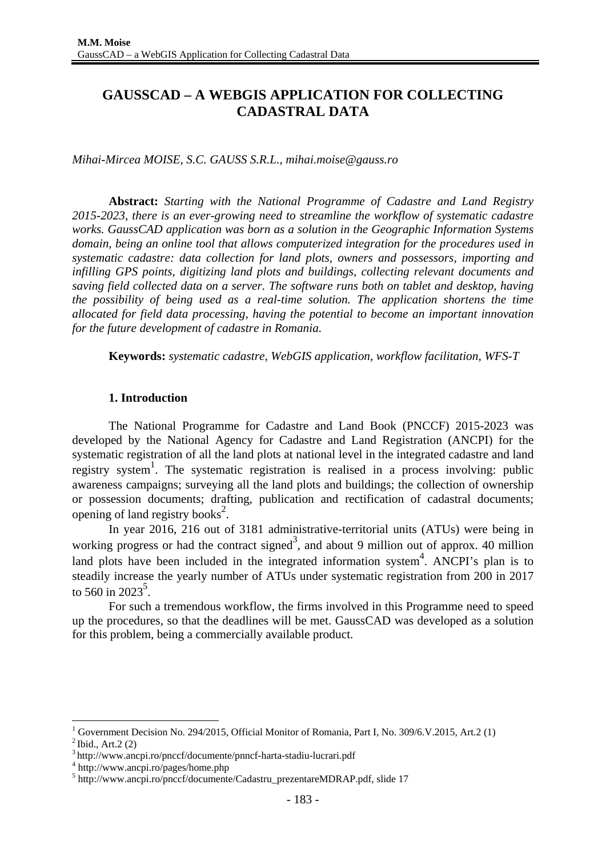# **GAUSSCAD – A WEBGIS APPLICATION FOR COLLECTING CADASTRAL DATA**

*Mihai-Mircea MOISE, S.C. GAUSS S.R.L., mihai.moise@gauss.ro*

**Abstract:** *Starting with the National Programme of Cadastre and Land Registry 2015-2023, there is an ever-growing need to streamline the workflow of systematic cadastre works. GaussCAD application was born as a solution in the Geographic Information Systems domain, being an online tool that allows computerized integration for the procedures used in systematic cadastre: data collection for land plots, owners and possessors, importing and infilling GPS points, digitizing land plots and buildings, collecting relevant documents and saving field collected data on a server. The software runs both on tablet and desktop, having the possibility of being used as a real-time solution. The application shortens the time allocated for field data processing, having the potential to become an important innovation for the future development of cadastre in Romania.* 

**Keywords:** *systematic cadastre, WebGIS application, workflow facilitation, WFS-T* 

### **1. Introduction**

The National Programme for Cadastre and Land Book (PNCCF) 2015-2023 was developed by the National Agency for Cadastre and Land Registration (ANCPI) for the systematic registration of all the land plots at national level in the integrated cadastre and land registry system<sup>1</sup>. The systematic registration is realised in a process involving: public awareness campaigns; surveying all the land plots and buildings; the collection of ownership or possession documents; drafting, publication and rectification of cadastral documents; opening of land registry books<sup>2</sup>.

In year 2016, 216 out of 3181 administrative-territorial units (ATUs) were being in working progress or had the contract signed<sup>3</sup>, and about 9 million out of approx. 40 million land plots have been included in the integrated information system<sup>4</sup>. ANCPI's plan is to steadily increase the yearly number of ATUs under systematic registration from 200 in 2017 to 560 in 2023<sup>5</sup>.

For such a tremendous workflow, the firms involved in this Programme need to speed up the procedures, so that the deadlines will be met. GaussCAD was developed as a solution for this problem, being a commercially available product.

1

<sup>1</sup> Government Decision No. 294/2015, Official Monitor of Romania, Part I, No. 309/6.V.2015, Art.2 (1)

 $^{2}$  Ibid., Art. 2 (2)

<sup>3</sup> http://www.ancpi.ro/pnccf/documente/pnncf-harta-stadiu-lucrari.pdf 4

http://www.ancpi.ro/pages/home.php

<sup>5</sup> http://www.ancpi.ro/pnccf/documente/Cadastru\_prezentareMDRAP.pdf, slide 17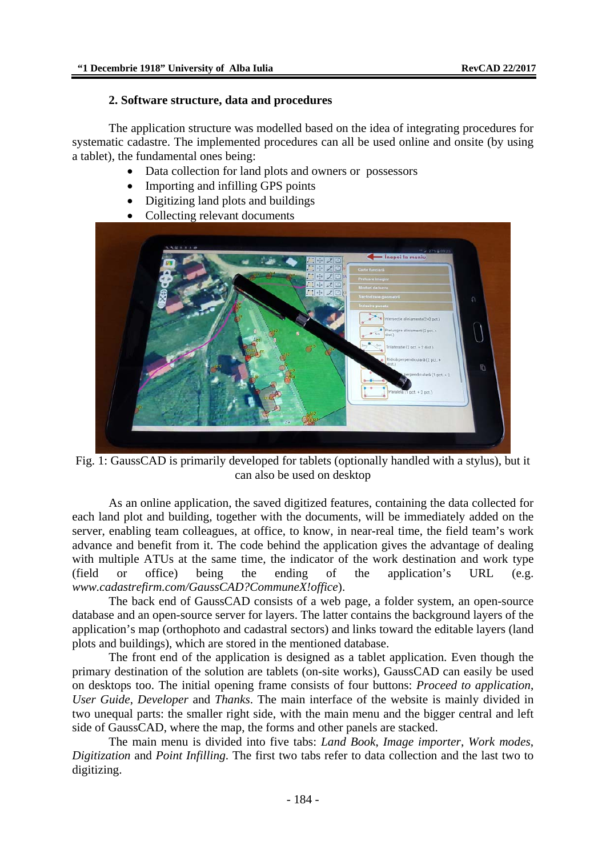#### **2. Software structure, data and procedures**

The application structure was modelled based on the idea of integrating procedures for systematic cadastre. The implemented procedures can all be used online and onsite (by using a tablet), the fundamental ones being:

- Data collection for land plots and owners or possessors
- Importing and infilling GPS points
- Digitizing land plots and buildings
- Collecting relevant documents



Fig. 1: GaussCAD is primarily developed for tablets (optionally handled with a stylus), but it can also be used on desktop

As an online application, the saved digitized features, containing the data collected for each land plot and building, together with the documents, will be immediately added on the server, enabling team colleagues, at office, to know, in near-real time, the field team's work advance and benefit from it. The code behind the application gives the advantage of dealing with multiple ATUs at the same time, the indicator of the work destination and work type (field or office) being the ending of the application's URL (e.g. *www.cadastrefirm.com/GaussCAD?CommuneX!office*).

The back end of GaussCAD consists of a web page, a folder system, an open-source database and an open-source server for layers. The latter contains the background layers of the application's map (orthophoto and cadastral sectors) and links toward the editable layers (land plots and buildings), which are stored in the mentioned database.

The front end of the application is designed as a tablet application. Even though the primary destination of the solution are tablets (on-site works), GaussCAD can easily be used on desktops too. The initial opening frame consists of four buttons: *Proceed to application*, *User Guide*, *Developer* and *Thanks*. The main interface of the website is mainly divided in two unequal parts: the smaller right side, with the main menu and the bigger central and left side of GaussCAD, where the map, the forms and other panels are stacked.

The main menu is divided into five tabs: *Land Book*, *Image importer*, *Work modes*, *Digitization* and *Point Infilling*. The first two tabs refer to data collection and the last two to digitizing.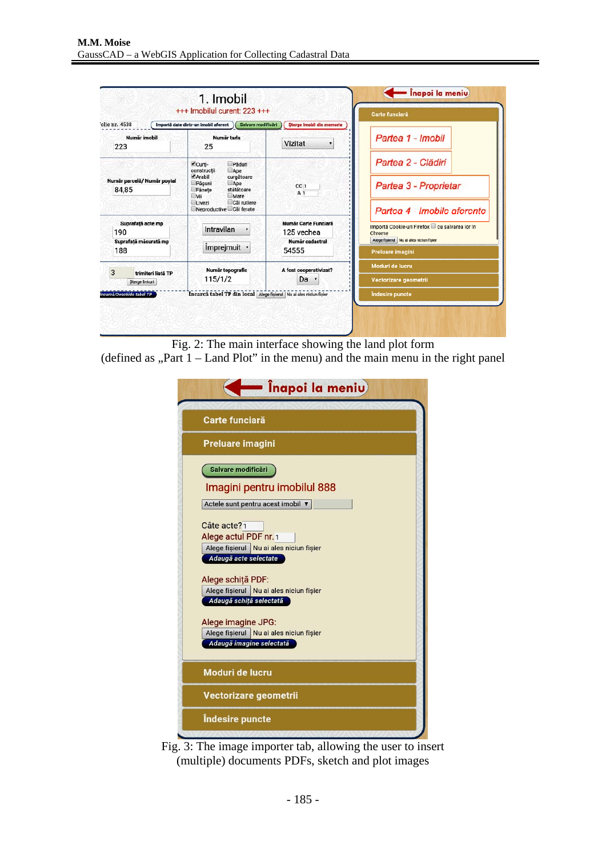| 1. Imobil<br>+++ Imobilul curent: 223 +++                |                                                                                                                                                                                   |                                                                | Carte funciară                                                                                                                |  |
|----------------------------------------------------------|-----------------------------------------------------------------------------------------------------------------------------------------------------------------------------------|----------------------------------------------------------------|-------------------------------------------------------------------------------------------------------------------------------|--|
| olie nr. 4538<br>Număr imobil<br>223                     | Salvare modificari<br>Importă date dintr-un imobil aferent )<br>Număr tarla<br>25                                                                                                 | Sterge imobil din memorie<br>Vizitat                           | Partea 1 - Imobil                                                                                                             |  |
| Număr parcelă/ Număr poștal<br>84,85                     | Curti-<br>Păduri<br>constructii<br>Ape<br>Arabil<br>curgătoare<br>Păsuni<br>Ape<br>stătătoare<br>Fânețe<br>Mare<br>$\Box$ vii<br>Căi rutiere<br>Livezi<br>Neproductive Căi ferate | CC <sub>1</sub><br>A <sub>1</sub>                              | Partea 2 - Clădiri<br>Partea 3 - Proprietar<br>Partea 4 - Imobile aferente                                                    |  |
| Suprafață acte mp<br>190<br>Suprafață măsurată mp<br>188 | Intravilan<br>Împrejmuit ·                                                                                                                                                        | Număr Carte Funciară<br>125 vechea<br>Număr cadastral<br>54555 | Importă Cookie-uri Firefox cu salvarea lor în<br>Chrome<br>Alege fisierul Nu ai ales niciun fisier<br><b>Preluare imagini</b> |  |
| 3<br>trimiteri listă TP<br>Sterge linkuri                | Număr topografic<br>115/1/2                                                                                                                                                       | A fost cooperativizat?<br>Da ·                                 | Moduri de lucru<br>Vectorizare geometrii                                                                                      |  |
| ncarcă/Deschide tabel TP                                 | Incarcă tabel TP din local Alege fișierul Nu ai ales niciun fișier                                                                                                                |                                                                | <b>Indesire puncte</b>                                                                                                        |  |

Fig. 2: The main interface showing the land plot form

(defined as "Part  $1 -$  Land Plot" in the menu) and the main menu in the right panel

|                          | = Înapoi la meniu)                      |  |
|--------------------------|-----------------------------------------|--|
| Carte funciară           |                                         |  |
| Preluare imagini         |                                         |  |
| Salvare modificări       |                                         |  |
|                          | Imagini pentru imobilul 888             |  |
|                          | Actele sunt pentru acest imobil ▼       |  |
| Câte acte?1              |                                         |  |
| Alege actul PDF nr. 1    |                                         |  |
|                          | Alege fisierul Nu ai ales niciun fisier |  |
| Adaugă acte selectate    |                                         |  |
|                          |                                         |  |
| Alege schiță PDF:        | Alege fișierul Nu ai ales niciun fișier |  |
| Adaugă schiță selectată  |                                         |  |
|                          |                                         |  |
| Alege imagine JPG:       |                                         |  |
| Adaugă imagine selectată | Alege fișierul Nu ai ales niciun fișier |  |
|                          |                                         |  |
| Moduri de lucru          |                                         |  |
| Vectorizare geometrii    |                                         |  |
| Îndesire puncte          |                                         |  |

Fig. 3: The image importer tab, allowing the user to insert (multiple) documents PDFs, sketch and plot images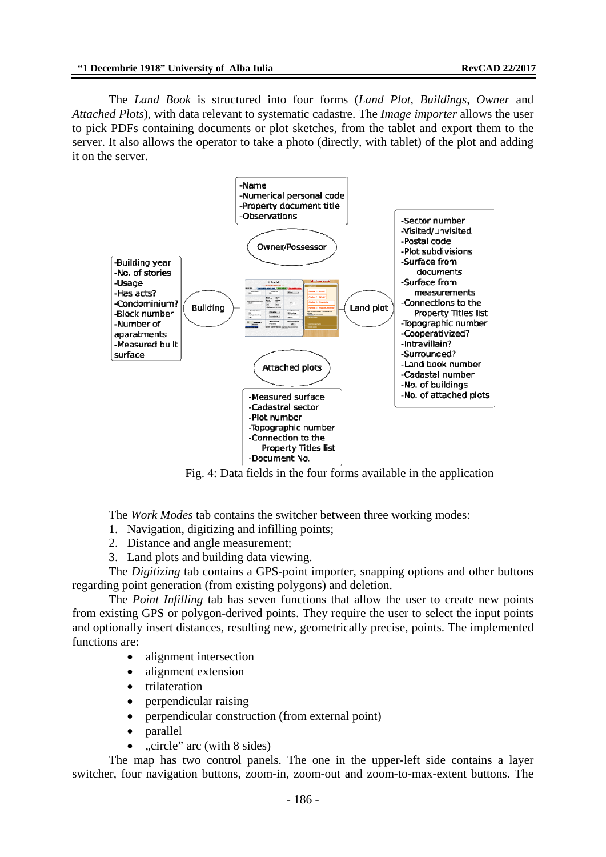The *Land Book* is structured into four forms (*Land Plot*, *Buildings*, *Owner* and *Attached Plots*), with data relevant to systematic cadastre. The *Image importer* allows the user to pick PDFs containing documents or plot sketches, from the tablet and export them to the server. It also allows the operator to take a photo (directly, with tablet) of the plot and adding it on the server.



Fig. 4: Data fields in the four forms available in the application

The *Work Modes* tab contains the switcher between three working modes:

- 1. Navigation, digitizing and infilling points;
- 2. Distance and angle measurement;
- 3. Land plots and building data viewing.

The *Digitizing* tab contains a GPS-point importer, snapping options and other buttons regarding point generation (from existing polygons) and deletion.

The *Point Infilling* tab has seven functions that allow the user to create new points from existing GPS or polygon-derived points. They require the user to select the input points and optionally insert distances, resulting new, geometrically precise, points. The implemented functions are:

- alignment intersection
- alignment extension
- trilateration
- perpendicular raising
- perpendicular construction (from external point)
- parallel
- "circle" arc (with 8 sides)

The map has two control panels. The one in the upper-left side contains a layer switcher, four navigation buttons, zoom-in, zoom-out and zoom-to-max-extent buttons. The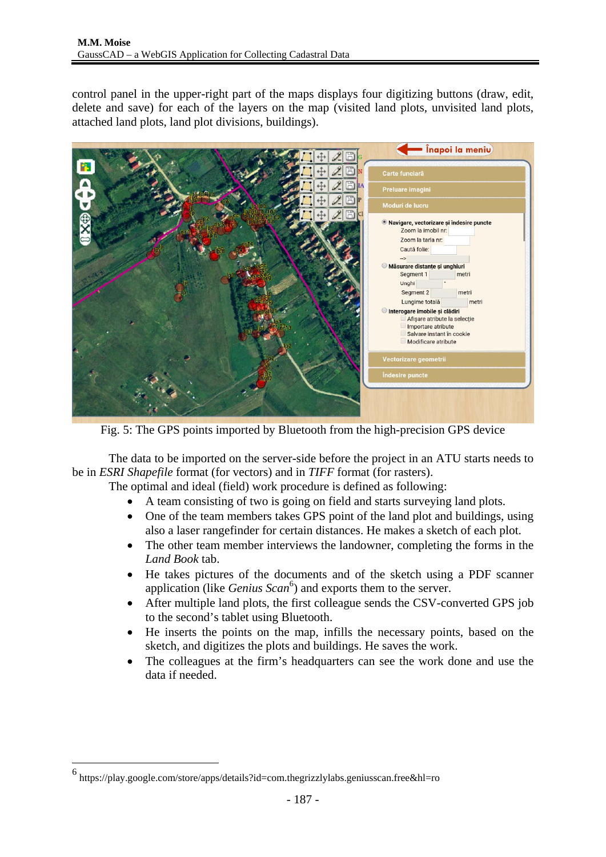control panel in the upper-right part of the maps displays four digitizing buttons (draw, edit, delete and save) for each of the layers on the map (visited land plots, unvisited land plots, attached land plots, land plot divisions, buildings).



Fig. 5: The GPS points imported by Bluetooth from the high-precision GPS device

The data to be imported on the server-side before the project in an ATU starts needs to be in *ESRI Shapefile* format (for vectors) and in *TIFF* format (for rasters).

The optimal and ideal (field) work procedure is defined as following:

- A team consisting of two is going on field and starts surveying land plots.
- One of the team members takes GPS point of the land plot and buildings, using also a laser rangefinder for certain distances. He makes a sketch of each plot.
- The other team member interviews the landowner, completing the forms in the *Land Book* tab.
- He takes pictures of the documents and of the sketch using a PDF scanner application (like *Genius Scan*<sup>6</sup>) and exports them to the server.
- After multiple land plots, the first colleague sends the CSV-converted GPS job to the second's tablet using Bluetooth.
- He inserts the points on the map, infills the necessary points, based on the sketch, and digitizes the plots and buildings. He saves the work.
- The colleagues at the firm's headquarters can see the work done and use the data if needed.

1

<sup>6</sup> https://play.google.com/store/apps/details?id=com.thegrizzlylabs.geniusscan.free&hl=ro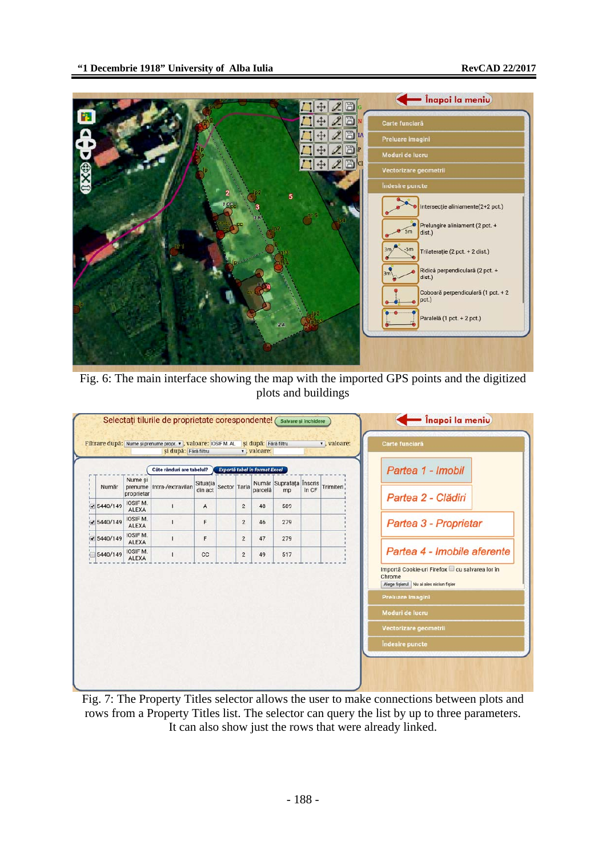

Fig. 6: The main interface showing the map with the imported GPS points and the digitized plots and buildings



Fig. 7: The Property Titles selector allows the user to make connections between plots and rows from a Property Titles list. The selector can query the list by up to three parameters. It can also show just the rows that were already linked.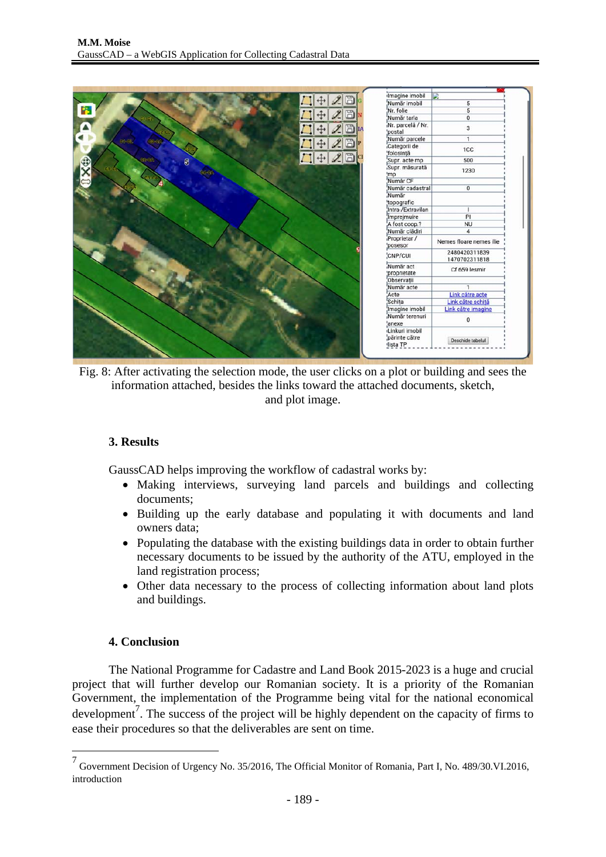

Fig. 8: After activating the selection mode, the user clicks on a plot or building and sees the information attached, besides the links toward the attached documents, sketch, and plot image.

# **3. Results**

GaussCAD helps improving the workflow of cadastral works by:

- Making interviews, surveying land parcels and buildings and collecting documents;
- Building up the early database and populating it with documents and land owners data;
- Populating the database with the existing buildings data in order to obtain further necessary documents to be issued by the authority of the ATU, employed in the land registration process;
- Other data necessary to the process of collecting information about land plots and buildings.

# **4. Conclusion**

<u>.</u>

The National Programme for Cadastre and Land Book 2015-2023 is a huge and crucial project that will further develop our Romanian society. It is a priority of the Romanian Government, the implementation of the Programme being vital for the national economical development<sup>7</sup>. The success of the project will be highly dependent on the capacity of firms to ease their procedures so that the deliverables are sent on time.

<sup>7</sup> Government Decision of Urgency No. 35/2016, The Official Monitor of Romania, Part I, No. 489/30.VI.2016, introduction